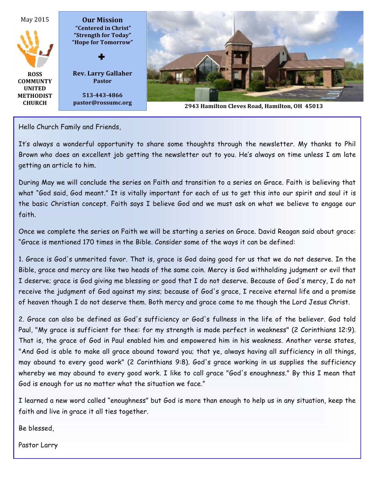

Hello Church Family and Friends,

It's always a wonderful opportunity to share some thoughts through the newsletter. My thanks to Phil Brown who does an excellent job getting the newsletter out to you. He's always on time unless I am late getting an article to him.

During May we will conclude the series on Faith and transition to a series on Grace. Faith is believing that what "God said, God meant." It is vitally important for each of us to get this into our spirit and soul it is the basic Christian concept. Faith says I believe God and we must ask on what we believe to engage our faith.

Once we complete the series on Faith we will be starting a series on Grace. David Reagan said about grace: "Grace is mentioned 170 times in the Bible. Consider some of the ways it can be defined:

1. Grace is God's unmerited favor. That is, grace is God doing good for us that we do not deserve. In the Bible, grace and mercy are like two heads of the same coin. Mercy is God withholding judgment or evil that I deserve; grace is God giving me blessing or good that I do not deserve. Because of God's mercy, I do not receive the judgment of God against my sins; because of God's grace, I receive eternal life and a promise of heaven though I do not deserve them. Both mercy and grace come to me though the Lord Jesus Christ.

2. Grace can also be defined as God's sufficiency or God's fullness in the life of the believer. God told Paul, "My grace is sufficient for thee: for my strength is made perfect in weakness" (2 Corinthians 12:9). That is, the grace of God in Paul enabled him and empowered him in his weakness. Another verse states, "And God is able to make all grace abound toward you; that ye, always having all sufficiency in all things, may abound to every good work" (2 Corinthians 9:8). God's grace working in us supplies the sufficiency whereby we may abound to every good work. I like to call grace "God's enoughness." By this I mean that God is enough for us no matter what the situation we face."

I learned a new word called "enoughness" but God is more than enough to help us in any situation, keep the faith and live in grace it all ties together.

Be blessed,

Pastor Larry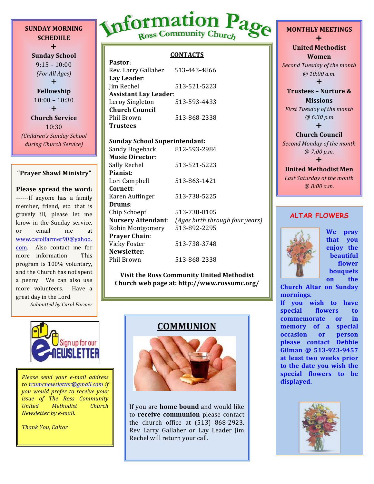**SUNDAY MORNING SCHEDULE**  $+$ 

**Sunday School**  $9:15 - 10:00$ *(For All Ages)*  $+$ **Fellowship**  $10:00 - 10:30$  $+$ **Church Service** 10:30 *(Children's Sunday School during Church Service)*

# **"Prayer Shawl Ministry"**

**Please spread the word: ------**If anyone has a family member, friend, etc. that is gravely ill, please let me know in the Sunday service, or email me at www.carolfarmer90@yahoo. com. Also contact me for more information. This program is 100% voluntary. and the Church has not spent a penny. We can also use more volunteers. Have a great day in the Lord.

*Submitted by Carol Farmer*

# Information Page

# **CONTACTS**

| Pastor:                      |              |  |  |  |  |  |
|------------------------------|--------------|--|--|--|--|--|
| Rev. Larry Gallaher          | 513-443-4866 |  |  |  |  |  |
| Lay Leader:                  |              |  |  |  |  |  |
| Jim Rechel                   | 513-521-5223 |  |  |  |  |  |
| <b>Assistant Lay Leader:</b> |              |  |  |  |  |  |
| Leroy Singleton              | 513-593-4433 |  |  |  |  |  |
| <b>Church Council</b>        |              |  |  |  |  |  |
| Phil Brown                   | 513-868-2338 |  |  |  |  |  |
| Trustees                     |              |  |  |  |  |  |

# **Sunday School Superintendant:**

Sandy Hogeback 812-593-2984 **Music Director**: Sally Rechel 513-521-5223 **Pianist**: Lori Campbell 513-863-1421 **Cornett**: Karen Auffinger 513-738-5225 **Drums**: Chip Schoepf 513-738-8105 **Nursery Attendant**: *(Ages birth through four years)* Robin Montgomery 513-892-2295 **Prayer Chain**: Vicky Foster 513-738-3748 **Newsletter**: Phil Brown 513-868-2338

**Visit the Ross Community United Methodist Church web page at: http://www.rossumc.org/**



to rcumcnewsletter@gmail.com if *you would prefer to receive your issue of The Ross Community United Methodist Church Newsletter by e-mail.* 

*Thank You, Editor*

# **COMMUNION**



If you are **home bound** and would like to **receive communion** please contact the church office at  $(513)$  868-2923. Rev Larry Gallaher or Lay Leader Jim Rechel will return your call.

**MONTHLY MEETINGS**  $\ddagger$ **United Methodist Women Second Tuesday of the month** *@ 10:00 a.m.*  $\pm$ 

**Trustees - Nurture & Missions**

*First Tuesday of the month @ 6:30 p.m.*

 $\ddagger$ **Church Council**

**Second Monday of the month** *@ 7:00 p.m.*

# $\ddag$ **United Methodist Men**

Last Saturday of the month *@ 8:00 a.m.*

# **ALTAR FLOWERS**



**We pray that you enjoy** the **beautiful flower bouquets on** the

**Church Altar on Sunday mornings.**

If you wish to have special flowers to **commemorate** or in **memory** of a special **occasion** or **person please contact Debbie**  Gilman @ 513-923-9457 at least two weeks prior to the date you wish the **special flowers to be** 

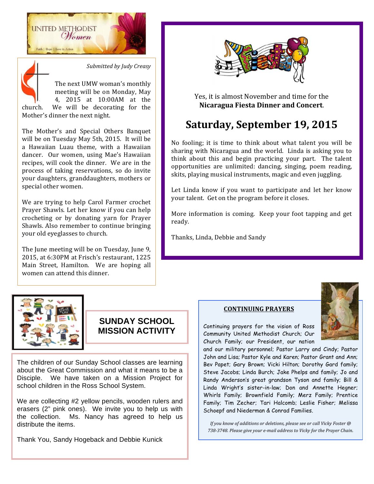



The Mother's and Special Others Banquet will be on Tuesday May 5th, 2015. It will be a Hawaiian Luau theme, with a Hawaiian dancer. Our women, using Mae's Hawaiian recipes, will cook the dinner. We are in the process of taking reservations, so do invite your daughters, granddaughters, mothers or special other women.

We are trying to help Carol Farmer crochet Prayer Shawls. Let her know if you can help crocheting or by donating yarn for Prayer Shawls. Also remember to continue bringing your old eyeglasses to church.

The June meeting will be on Tuesday, June 9, 2015, at 6:30PM at Frisch's restaurant, 1225 Main Street, Hamilton. We are hoping all women can attend this dinner.



Yes, it is almost November and time for the **Nicaragua Fiesta Dinner and Concert**.

# **Saturday, September 19, 2015**

No fooling; it is time to think about what talent you will be sharing with Nicaragua and the world. Linda is asking you to think about this and begin practicing your part. The talent opportunities are unlimited: dancing, singing, poem reading, skits, playing musical instruments, magic and even juggling.

Let Linda know if you want to participate and let her know your talent. Get on the program before it closes.

More information is coming. Keep your foot tapping and get ready.

Thanks, Linda, Debbie and Sandy



# **SUNDAY SCHOOL MISSION ACTIVITY**

The children of our Sunday School classes are learning about the Great Commission and what it means to be a Disciple. We have taken on a Mission Project for school children in the Ross School System.

We are collecting #2 yellow pencils, wooden rulers and erasers (2" pink ones). We invite you to help us with the collection. Ms. Nancy has agreed to help us distribute the items.

Thank You, Sandy Hogeback and Debbie Kunick

# **CONTINUING PRAYERS**

Continuing prayers for the vision of Ross Community United Methodist Church; Our Church Family; our President, our nation



and our military personnel; Pastor Larry and Cindy; Pastor John and Lisa; Pastor Kyle and Karen; Pastor Grant and Ann; Bev Papet; Gary Brown; Vicki Hilton; Dorothy Gard family; Steve Jacobs; Linda Burch; Jake Phelps and family; Jo and Randy Anderson's great grandson Tyson and family; Bill & Linda Wright's sister-in-law; Don and Annette Hegner; Whirls Family; Brownfield Family; Merz Family; Prentice Family; Tim Zecher; Tari Halcomb; Leslie Fisher; Melissa Schoepf and Niederman & Conrad Families.

*If* you know of additions or deletions, please see or call Vicky Foster @ 738-3748. Please give your e-mail address to Vicky for the Prayer Chain.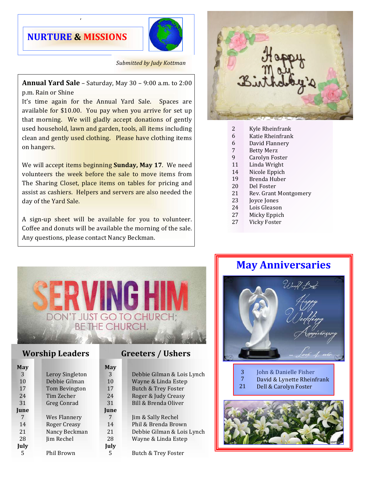# **NURTURE & MISSIONS**

/



# **Submitted by Judy Kottman**

**Annual Yard Sale** – Saturday, May 30 – 9:00 a.m. to 2:00 p.m. Rain or Shine

It's time again for the Annual Yard Sale. Spaces are available for  $$10.00$ . You pay when you arrive for set up that morning. We will gladly accept donations of gently used household, lawn and garden, tools, all items including clean and gently used clothing. Please have clothing items on hangers.

We will accept items beginning **Sunday, May 17**. We need volunteers the week before the sale to move items from The Sharing Closet, place items on tables for pricing and assist as cashiers. Helpers and servers are also needed the day of the Yard Sale.

A sign-up sheet will be available for you to volunteer. Coffee and donuts will be available the morning of the sale. Any questions, please contact Nancy Beckman.



- Kyle Rheinfrank 2
- Katie Rheinfrank 6
- David Flannery 6
- **Betty Merz** 7
- Carolyn Foster 9
- Linda Wright 11
- Nicole Eppich Brenda Huber 14 19
- Del Foster 20
- Rev. Grant Montgomery 21
- Joyce Jones 23
- Lois Gleason 24
- Micky Eppich 27
- Vicky Foster 27



# **Worship Leaders Greeters** / Ushers

| May         |                     |
|-------------|---------------------|
| 3           | Leroy Singleton     |
| 10          | Debbie Gilman       |
| 17          | Tom Bevington       |
| 2.4         | Tim Zecher          |
| 31          | Greg Conrad         |
| <b>June</b> |                     |
| 7           | Wes Flannery        |
| 14          | <b>Roger Creasy</b> |
| 21          | Nancy Beckman       |
| 28          | Jim Rechel          |
| July        |                     |
|             | Phil Brown          |

| Debbie Gilman & Lois Lynch<br>Wayne & Linda Estep<br>Butch & Trey Foster<br>Roger & Judy Creasy |
|-------------------------------------------------------------------------------------------------|
| Bill & Brenda Oliver                                                                            |
| Jim & Sally Rechel<br>Phil & Brenda Brown<br>Debbie Gilman & Lois Lynch<br>Wayne & Linda Estep  |

Butch & Trey Foster

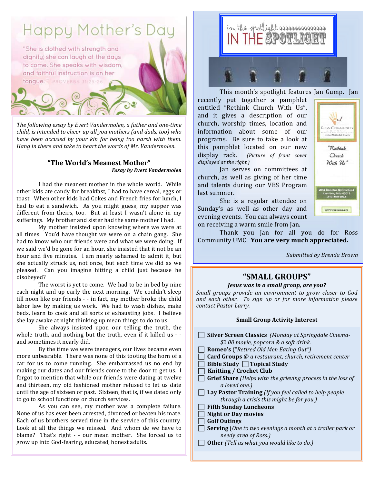# **Happy Mother's Day**

"She is clothed with strength and dignity; she can laugh at the days to come. She speaks with wisdom, and faithful instruction is on her tongue." PROVERBS 31:25-26

The following essay by Evert Vandermolen, a father and one-time *child, is intended to cheer up all you mothers (and dads, too)* who *have been accused by your kin for being too harsh with them. Hang* in there and take to heart the words of Mr. Vandermolen.

# **"The World's Meanest Mother"** *Essay by Evert Vandermolen*

I had the meanest mother in the whole world. While other kids ate candy for breakfast, I had to have cereal, eggs or toast. When other kids had Cokes and French fries for lunch, I had to eat a sandwich. As you might guess, my supper was different from theirs, too. But at least I wasn't alone in my sufferings. My brother and sister had the same mother I had.

My mother insisted upon knowing where we were at all times. You'd have thought we were on a chain gang. She had to know who our friends were and what we were doing. If we said we'd be gone for an hour, she insisted that it not be an hour and five minutes. I am nearly ashamed to admit it, but she actually struck us, not once, but each time we did as we pleased. Can you imagine hitting a child just because he disobeyed?

The worst is yet to come. We had to be in bed by nine each night and up early the next morning. We couldn't sleep till noon like our friends - - in fact, my mother broke the child labor law by making us work. We had to wash dishes, make beds, learn to cook and all sorts of exhausting jobs. I believe she lay awake at night thinking up mean things to do to us.

She always insisted upon our telling the truth, the whole truth, and nothing but the truth, even if it killed us  $-$  and sometimes it nearly did.

By the time we were teenagers, our lives became even more unbearable. There was none of this tooting the horn of a car for us to come running. She embarrassed us no end by making our dates and our friends come to the door to get us. I forgot to mention that while our friends were dating at twelve and thirteen, my old fashioned mother refused to let us date until the age of sixteen or past. Sixteen, that is, if we dated only to go to school functions or church services.

As you can see, my mother was a complete failure. None of us has ever been arrested, divorced or beaten his mate. Each of us brothers served time in the service of this country. Look at all the things we missed. And whom de we have to blame? That's right - - our mean mother. She forced us to grow up into God-fearing, educated, honest adults.



This month's spotlight features Ian Gump. Ian

recently put together a pamphlet entitled "Rethink Church With Us", and it gives a description of our church, worship times, location and information about some of our programs. Be sure to take a look at this pamphlet located on our new display rack. (Picture of front cover displayed at the right.)



Jan serves on committees at church, as well as giving of her time and talents during our VBS Program last summer.

She is a regular attendee on Sunday's as well as other day and evening events. You can always count on receiving a warm smile from Jan.

Thank you Jan for all you do for Ross Community UMC. You are very much appreciated.

*Submitted by Brenda Brown*

# **"SMALL GROUPS"**

#### *Jesus* was in a small group, are you?

*Small groups provide an environment to grow closer to God and each other. To sign up or for more information please contact Pastor Larry.*

#### **Small Group Activity Interest**

| <b>Silver Screen Classics</b> (Monday at Springdale Cinema-        |
|--------------------------------------------------------------------|
| \$2.00 movie, popcorn & a soft drink.                              |
| <b>Romeo's</b> ("Retired Old Men Eating Out")                      |
| <b>Card Groups</b> @ a restaurant, church, retirement center       |
| Bible Study $\Box$ Topical Study                                   |
| <b>Knitting / Crochet Club</b>                                     |
| <b>Grief Share</b> (Helps with the grieving process in the loss of |
| a loved one.)                                                      |
| Lay Pastor Training (If you feel called to help people             |
| through a crisis this might be for you.)                           |
| <b>Fifth Sunday Luncheons</b>                                      |
| <b>Night or Day movies</b>                                         |
| <b>Golf Outings</b>                                                |
| <b>Serving</b> (One to two evenings a month at a trailer park or   |
| needy area of Ross.)                                               |
| <b>Other</b> (Tell us what you would like to do.)                  |
|                                                                    |